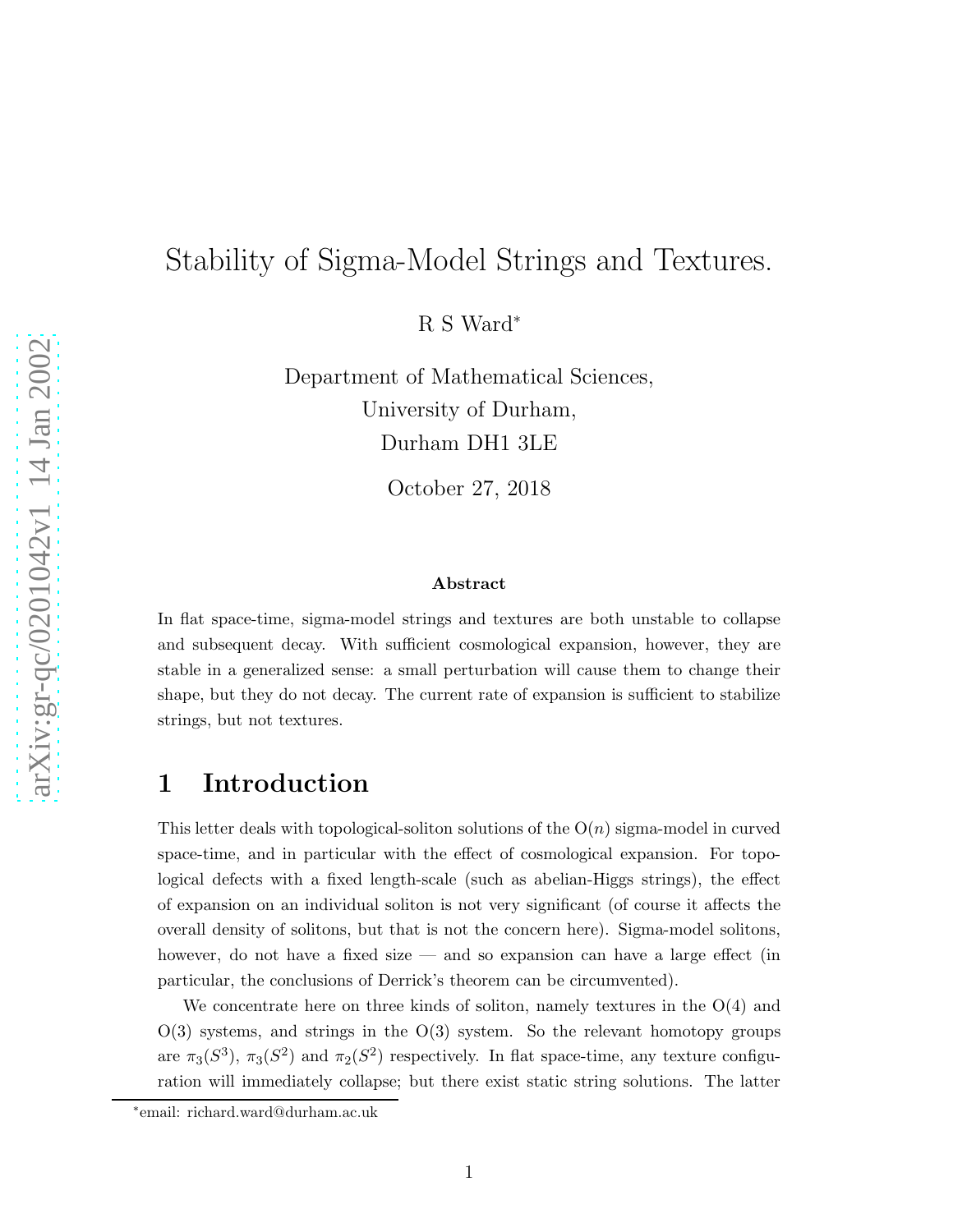# Stability of Sigma-Model Strings and Textures.

R S Ward ∗

Department of Mathematical Sciences, University of Durham, Durham DH1 3LE

October 27, 2018

#### Abstract

In flat space-time, sigma-model strings and textures are both unstable to collapse and subsequent decay. With sufficient cosmological expansion, however, they are stable in a generalized sense: a small perturbation will cause them to change their shape, but they do not decay. The current rate of expansion is sufficient to stabilize strings, but not textures.

## 1 Introduction

This letter deals with topological-soliton solutions of the  $O(n)$  sigma-model in curved space-time, and in particular with the effect of cosmological expansion. For topological defects with a fixed length-scale (such as abelian-Higgs strings), the effect of expansion on an individual soliton is not very significant (of course it affects the overall density of solitons, but that is not the concern here). Sigma-model solitons, however, do not have a fixed size — and so expansion can have a large effect (in particular, the conclusions of Derrick's theorem can be circumvented).

We concentrate here on three kinds of soliton, namely textures in the O(4) and  $O(3)$  systems, and strings in the  $O(3)$  system. So the relevant homotopy groups are  $\pi_3(S^3)$ ,  $\pi_3(S^2)$  and  $\pi_2(S^2)$  respectively. In flat space-time, any texture configuration will immediately collapse; but there exist static string solutions. The latter

<sup>∗</sup> email: richard.ward@durham.ac.uk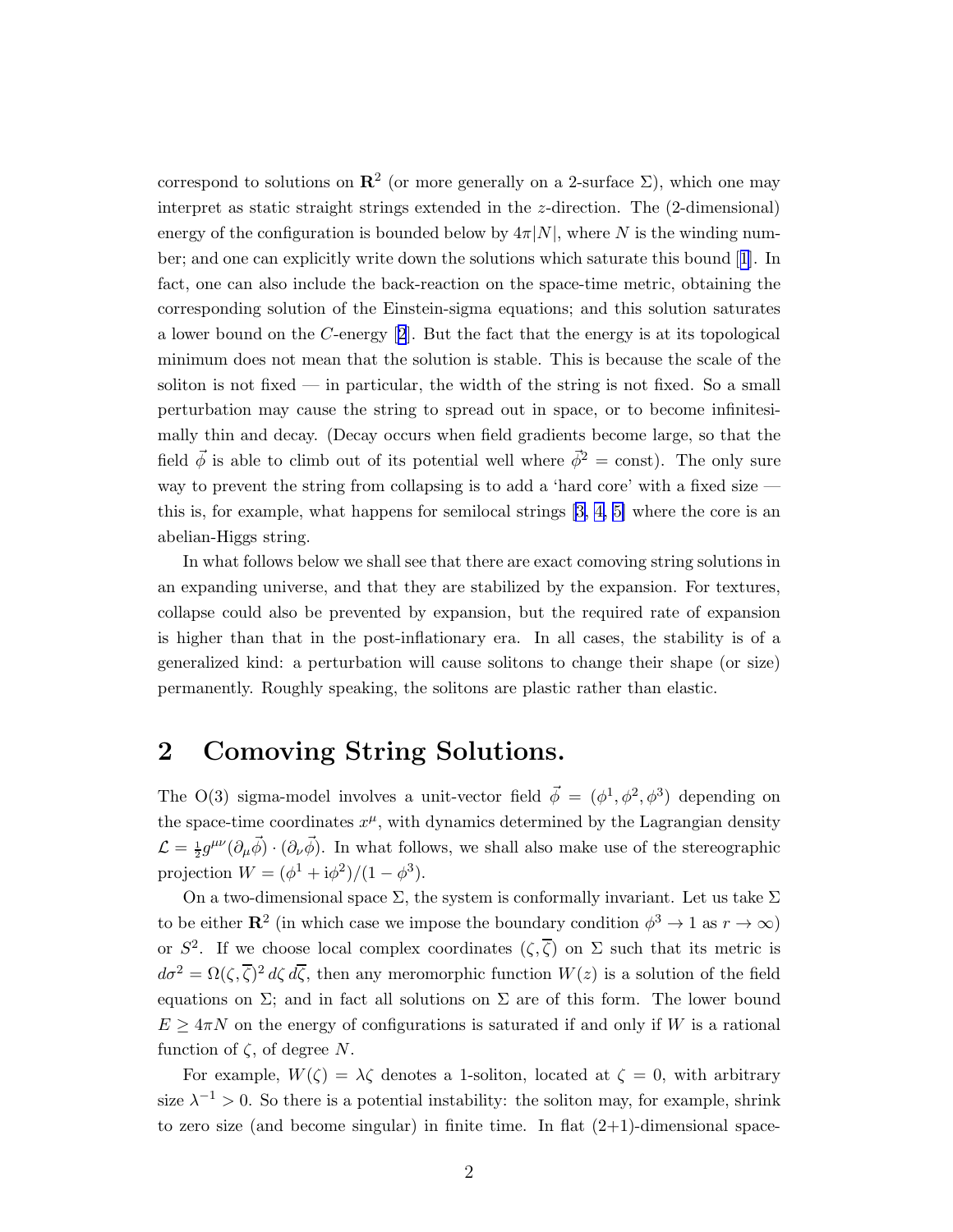correspond to solutions on  $\mathbb{R}^2$  (or more generally on a 2-surface  $\Sigma$ ), which one may interpret as static straight strings extended in the z-direction. The (2-dimensional) energy of the configuration is bounded below by  $4\pi|N|$ , where N is the winding number; and one can explicitly write down the solutions which saturate this bound[[1](#page-7-0)]. In fact, one can also include the back-reaction on the space-time metric, obtaining the corresponding solution of the Einstein-sigma equations; and this solution saturates alower bound on the C-energy  $[2]$  $[2]$  $[2]$ . But the fact that the energy is at its topological minimum does not mean that the solution is stable. This is because the scale of the soliton is not fixed  $\frac{1}{\sqrt{2}}$  in particular, the width of the string is not fixed. So a small perturbation may cause the string to spread out in space, or to become infinitesimally thin and decay. (Decay occurs when field gradients become large, so that the field  $\vec{\phi}$  is able to climb out of its potential well where  $\vec{\phi}^2$  = const). The only sure way to prevent the string from collapsing is to add a 'hard core' with a fixed size this is, for example, what happens for semilocal strings [\[3,](#page-7-0) [4, 5\]](#page-7-0) where the core is an abelian-Higgs string.

In what follows below we shall see that there are exact comoving string solutions in an expanding universe, and that they are stabilized by the expansion. For textures, collapse could also be prevented by expansion, but the required rate of expansion is higher than that in the post-inflationary era. In all cases, the stability is of a generalized kind: a perturbation will cause solitons to change their shape (or size) permanently. Roughly speaking, the solitons are plastic rather than elastic.

## 2 Comoving String Solutions.

The O(3) sigma-model involves a unit-vector field  $\vec{\phi} = (\phi^1, \phi^2, \phi^3)$  depending on the space-time coordinates  $x^{\mu}$ , with dynamics determined by the Lagrangian density  $\mathcal{L} = \frac{1}{2} g^{\mu\nu} (\partial_{\mu} \vec{\phi}) \cdot (\partial_{\nu} \vec{\phi})$ . In what follows, we shall also make use of the stereographic projection  $W = (\phi^1 + i\phi^2)/(1 - \phi^3)$ .

On a two-dimensional space  $\Sigma$ , the system is conformally invariant. Let us take  $\Sigma$ to be either  $\mathbb{R}^2$  (in which case we impose the boundary condition  $\phi^3 \to 1$  as  $r \to \infty$ ) or  $S^2$ . If we choose local complex coordinates  $(\zeta,\overline{\zeta})$  on  $\Sigma$  such that its metric is  $d\sigma^2 = \Omega(\zeta,\overline{\zeta})^2 d\zeta d\overline{\zeta}$ , then any meromorphic function  $W(z)$  is a solution of the field equations on  $\Sigma$ ; and in fact all solutions on  $\Sigma$  are of this form. The lower bound  $E \geq 4\pi N$  on the energy of configurations is saturated if and only if W is a rational function of  $\zeta$ , of degree N.

For example,  $W(\zeta) = \lambda \zeta$  denotes a 1-soliton, located at  $\zeta = 0$ , with arbitrary size  $\lambda^{-1} > 0$ . So there is a potential instability: the soliton may, for example, shrink to zero size (and become singular) in finite time. In flat  $(2+1)$ -dimensional space-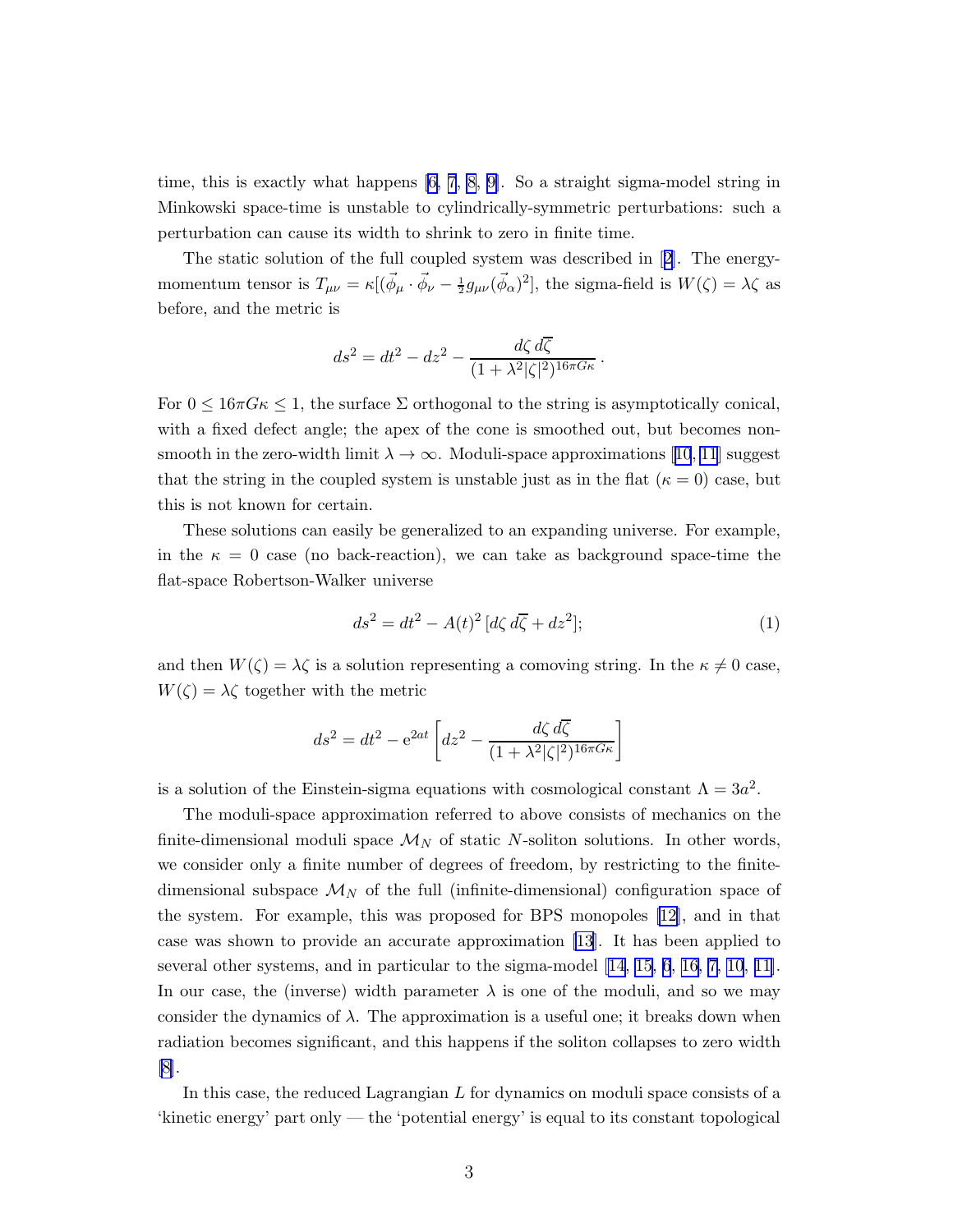time, this is exactly what happens [\[6, 7](#page-7-0), [8, 9\]](#page-7-0). So a straight sigma-model string in Minkowski space-time is unstable to cylindrically-symmetric perturbations: such a perturbation can cause its width to shrink to zero in finite time.

The static solution of the full coupled system was described in[[2](#page-7-0)]. The energymomentum tensor is  $T_{\mu\nu} = \kappa [(\vec{\phi}_{\mu} \cdot \vec{\phi}_{\nu} - \frac{1}{2} g_{\mu\nu} (\vec{\phi}_{\alpha})^2]$ , the sigma-field is  $W(\zeta) = \lambda \zeta$  as before, and the metric is

$$
ds^2 = dt^2 - dz^2 - \frac{d\zeta d\overline{\zeta}}{(1 + \lambda^2 |\zeta|^2)^{16\pi G\kappa}}.
$$

For  $0 \leq 16\pi G\kappa \leq 1$ , the surface  $\Sigma$  orthogonal to the string is asymptotically conical, with a fixed defect angle; the apex of the cone is smoothed out, but becomes nonsmoothin the zero-width limit  $\lambda \to \infty$ . Moduli-space approximations [[10](#page-7-0), [11](#page-7-0)] suggest that the string in the coupled system is unstable just as in the flat  $(\kappa = 0)$  case, but this is not known for certain.

These solutions can easily be generalized to an expanding universe. For example, in the  $\kappa = 0$  case (no back-reaction), we can take as background space-time the flat-space Robertson-Walker universe

$$
ds^2 = dt^2 - A(t)^2 \left[ d\zeta \, d\overline{\zeta} + dz^2 \right];\tag{1}
$$

and then  $W(\zeta) = \lambda \zeta$  is a solution representing a comoving string. In the  $\kappa \neq 0$  case,  $W(\zeta) = \lambda \zeta$  together with the metric

$$
ds^{2} = dt^{2} - e^{2at} \left[ dz^{2} - \frac{d\zeta d\overline{\zeta}}{(1 + \lambda^{2}|\zeta|^{2})^{16\pi G\kappa}} \right]
$$

is a solution of the Einstein-sigma equations with cosmological constant  $\Lambda = 3a^2$ .

The moduli-space approximation referred to above consists of mechanics on the finite-dimensional moduli space  $\mathcal{M}_N$  of static N-soliton solutions. In other words, we consider only a finite number of degrees of freedom, by restricting to the finitedimensional subspace  $\mathcal{M}_N$  of the full (infinite-dimensional) configuration space of the system. For example, this was proposed for BPS monopoles [\[12](#page-7-0)], and in that case was shown to provide an accurate approximation [\[13](#page-7-0)]. It has been applied to several other systems, and in particular to the sigma-model [[14,](#page-7-0) [15](#page-8-0), [6](#page-7-0), [16,](#page-8-0) [7, 10](#page-7-0), [11\]](#page-7-0). In our case, the (inverse) width parameter  $\lambda$  is one of the moduli, and so we may consider the dynamics of  $\lambda$ . The approximation is a useful one; it breaks down when radiation becomes significant, and this happens if the soliton collapses to zero width [\[8\]](#page-7-0).

In this case, the reduced Lagrangian  $L$  for dynamics on moduli space consists of a 'kinetic energy' part only — the 'potential energy' is equal to its constant topological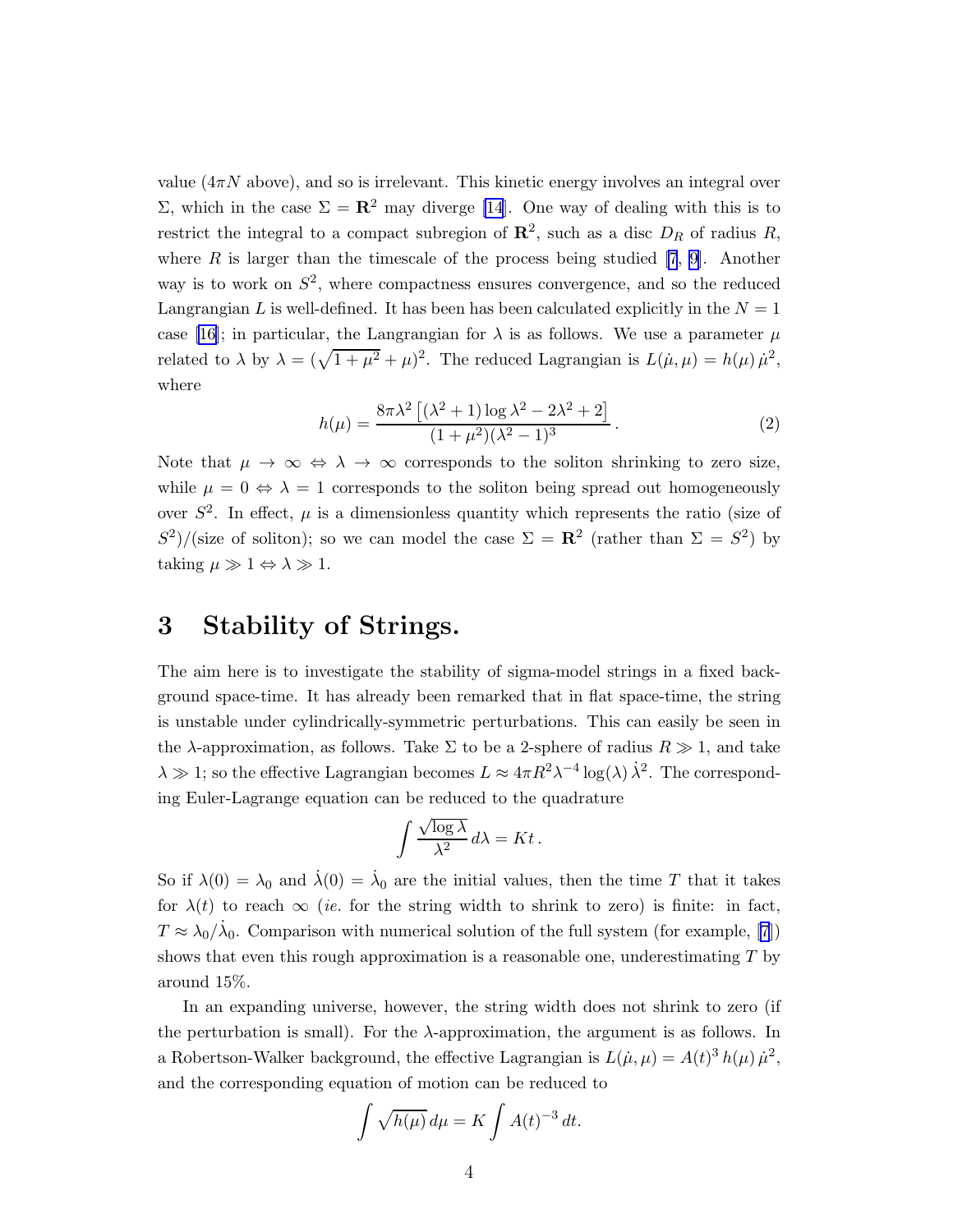value  $(4\pi N$  above), and so is irrelevant. This kinetic energy involves an integral over Σ, which in the case  $\Sigma = \mathbf{R}^2$  may diverge [\[14](#page-7-0)]. One way of dealing with this is to restrict the integral to a compact subregion of  $\mathbb{R}^2$ , such as a disc  $D_R$  of radius R, where  $R$  is larger than the timescale of the process being studied [\[7](#page-7-0), [9\]](#page-7-0). Another way is to work on  $S^2$ , where compactness ensures convergence, and so the reduced Langrangian L is well-defined. It has been has been calculated explicitly in the  $N = 1$ case[[16\]](#page-8-0); in particular, the Langrangian for  $\lambda$  is as follows. We use a parameter  $\mu$ related to  $\lambda$  by  $\lambda = (\sqrt{1 + \mu^2} + \mu)^2$ . The reduced Lagrangian is  $L(\mu, \mu) = h(\mu) \mu^2$ , where

$$
h(\mu) = \frac{8\pi\lambda^2 \left[ (\lambda^2 + 1) \log \lambda^2 - 2\lambda^2 + 2 \right]}{(1 + \mu^2)(\lambda^2 - 1)^3}.
$$
 (2)

Note that  $\mu \to \infty \Leftrightarrow \lambda \to \infty$  corresponds to the soliton shrinking to zero size, while  $\mu = 0 \Leftrightarrow \lambda = 1$  corresponds to the soliton being spread out homogeneously over  $S^2$ . In effect,  $\mu$  is a dimensionless quantity which represents the ratio (size of  $S^2$ /(size of soliton); so we can model the case  $\Sigma = \mathbb{R}^2$  (rather than  $\Sigma = S^2$ ) by taking  $\mu \gg 1 \Leftrightarrow \lambda \gg 1$ .

### 3 Stability of Strings.

The aim here is to investigate the stability of sigma-model strings in a fixed background space-time. It has already been remarked that in flat space-time, the string is unstable under cylindrically-symmetric perturbations. This can easily be seen in the  $\lambda$ -approximation, as follows. Take  $\Sigma$  to be a 2-sphere of radius  $R \gg 1$ , and take  $\lambda \gg 1$ ; so the effective Lagrangian becomes  $L \approx 4\pi R^2 \lambda^{-4} \log(\lambda) \lambda^2$ . The corresponding Euler-Lagrange equation can be reduced to the quadrature

$$
\int \frac{\sqrt{\log \lambda}}{\lambda^2} d\lambda = Kt.
$$

So if  $\lambda(0) = \lambda_0$  and  $\dot{\lambda}(0) = \dot{\lambda}_0$  are the initial values, then the time T that it takes for  $\lambda(t)$  to reach  $\infty$  (ie. for the string width to shrink to zero) is finite: in fact,  $T \approx \lambda_0/\dot{\lambda}_0$ . Comparison with numerical solution of the full system (for example, [\[7](#page-7-0)]) shows that even this rough approximation is a reasonable one, underestimating  $T$  by around 15%.

In an expanding universe, however, the string width does not shrink to zero (if the perturbation is small). For the λ-approximation, the argument is as follows. In a Robertson-Walker background, the effective Lagrangian is  $L(\dot{\mu}, \mu) = A(t)^3 h(\mu) \dot{\mu}^2$ , and the corresponding equation of motion can be reduced to

$$
\int \sqrt{h(\mu)} \, d\mu = K \int A(t)^{-3} \, dt.
$$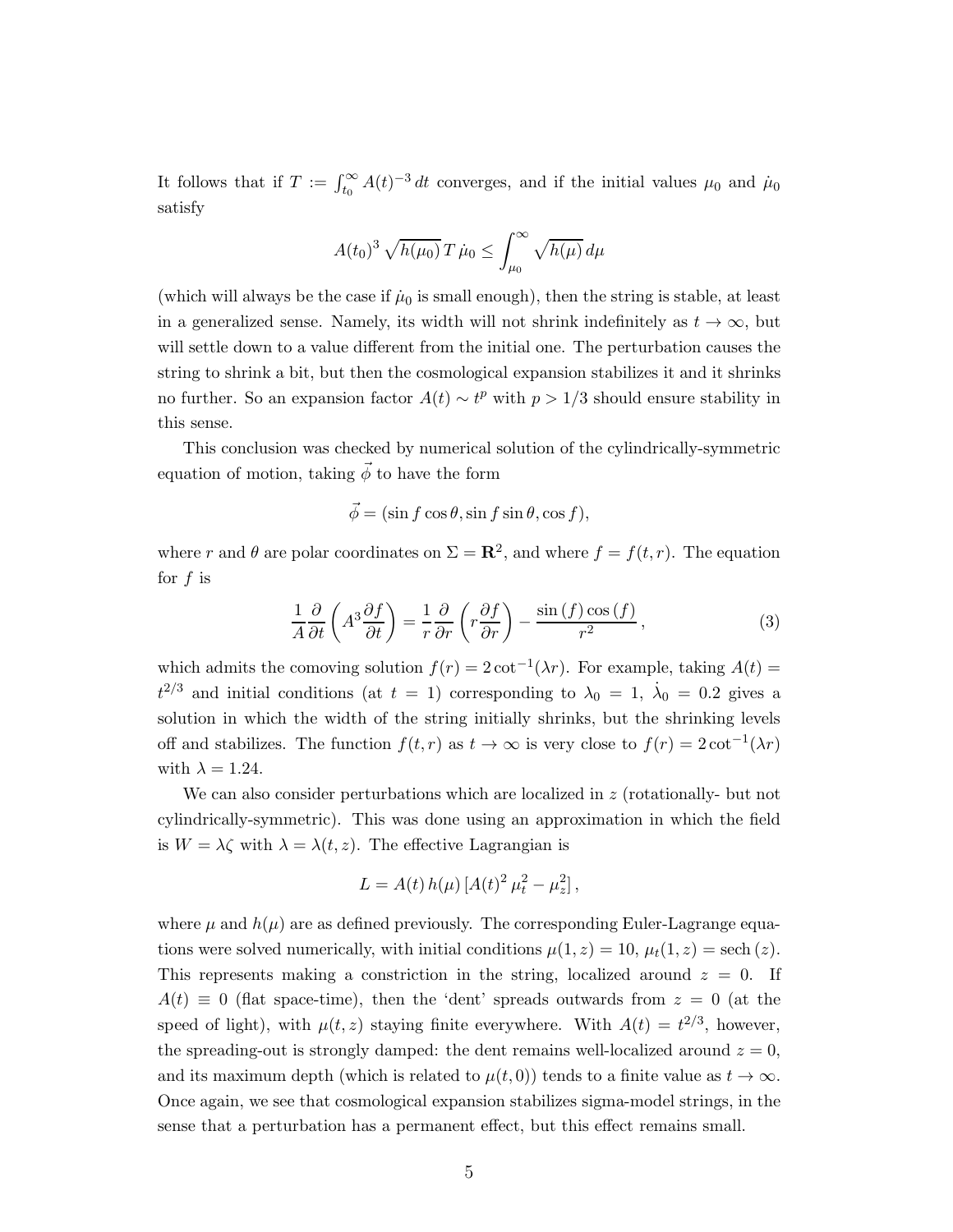It follows that if  $T := \int_{t_0}^{\infty} A(t)^{-3} dt$  converges, and if the initial values  $\mu_0$  and  $\mu_0$ satisfy

$$
A(t_0)^3 \sqrt{h(\mu_0)} T \dot{\mu}_0 \le \int_{\mu_0}^{\infty} \sqrt{h(\mu)} d\mu
$$

(which will always be the case if  $\mu_0$  is small enough), then the string is stable, at least in a generalized sense. Namely, its width will not shrink indefinitely as  $t \to \infty$ , but will settle down to a value different from the initial one. The perturbation causes the string to shrink a bit, but then the cosmological expansion stabilizes it and it shrinks no further. So an expansion factor  $A(t) \sim t^p$  with  $p > 1/3$  should ensure stability in this sense.

This conclusion was checked by numerical solution of the cylindrically-symmetric equation of motion, taking  $\vec{\phi}$  to have the form

$$
\vec{\phi} = (\sin f \cos \theta, \sin f \sin \theta, \cos f),
$$

where r and  $\theta$  are polar coordinates on  $\Sigma = \mathbb{R}^2$ , and where  $f = f(t, r)$ . The equation for  $f$  is

$$
\frac{1}{A}\frac{\partial}{\partial t}\left(A^3\frac{\partial f}{\partial t}\right) = \frac{1}{r}\frac{\partial}{\partial r}\left(r\frac{\partial f}{\partial r}\right) - \frac{\sin\left(f\right)\cos\left(f\right)}{r^2},\tag{3}
$$

which admits the comoving solution  $f(r) = 2 \cot^{-1}(\lambda r)$ . For example, taking  $A(t) =$  $t^{2/3}$  and initial conditions (at  $t = 1$ ) corresponding to  $\lambda_0 = 1$ ,  $\dot{\lambda}_0 = 0.2$  gives a solution in which the width of the string initially shrinks, but the shrinking levels off and stabilizes. The function  $f(t,r)$  as  $t \to \infty$  is very close to  $f(r) = 2 \cot^{-1}(\lambda r)$ with  $\lambda = 1.24$ .

We can also consider perturbations which are localized in  $z$  (rotationally- but not cylindrically-symmetric). This was done using an approximation in which the field is  $W = \lambda \zeta$  with  $\lambda = \lambda(t, z)$ . The effective Lagrangian is

$$
L = A(t) h(\mu) [A(t)^2 \mu_t^2 - \mu_z^2],
$$

where  $\mu$  and  $h(\mu)$  are as defined previously. The corresponding Euler-Lagrange equations were solved numerically, with initial conditions  $\mu(1, z) = 10$ ,  $\mu_t(1, z) =$  sech (z). This represents making a constriction in the string, localized around  $z = 0$ . If  $A(t) \equiv 0$  (flat space-time), then the 'dent' spreads outwards from  $z = 0$  (at the speed of light), with  $\mu(t, z)$  staying finite everywhere. With  $A(t) = t^{2/3}$ , however, the spreading-out is strongly damped: the dent remains well-localized around  $z = 0$ , and its maximum depth (which is related to  $\mu(t, 0)$ ) tends to a finite value as  $t \to \infty$ . Once again, we see that cosmological expansion stabilizes sigma-model strings, in the sense that a perturbation has a permanent effect, but this effect remains small.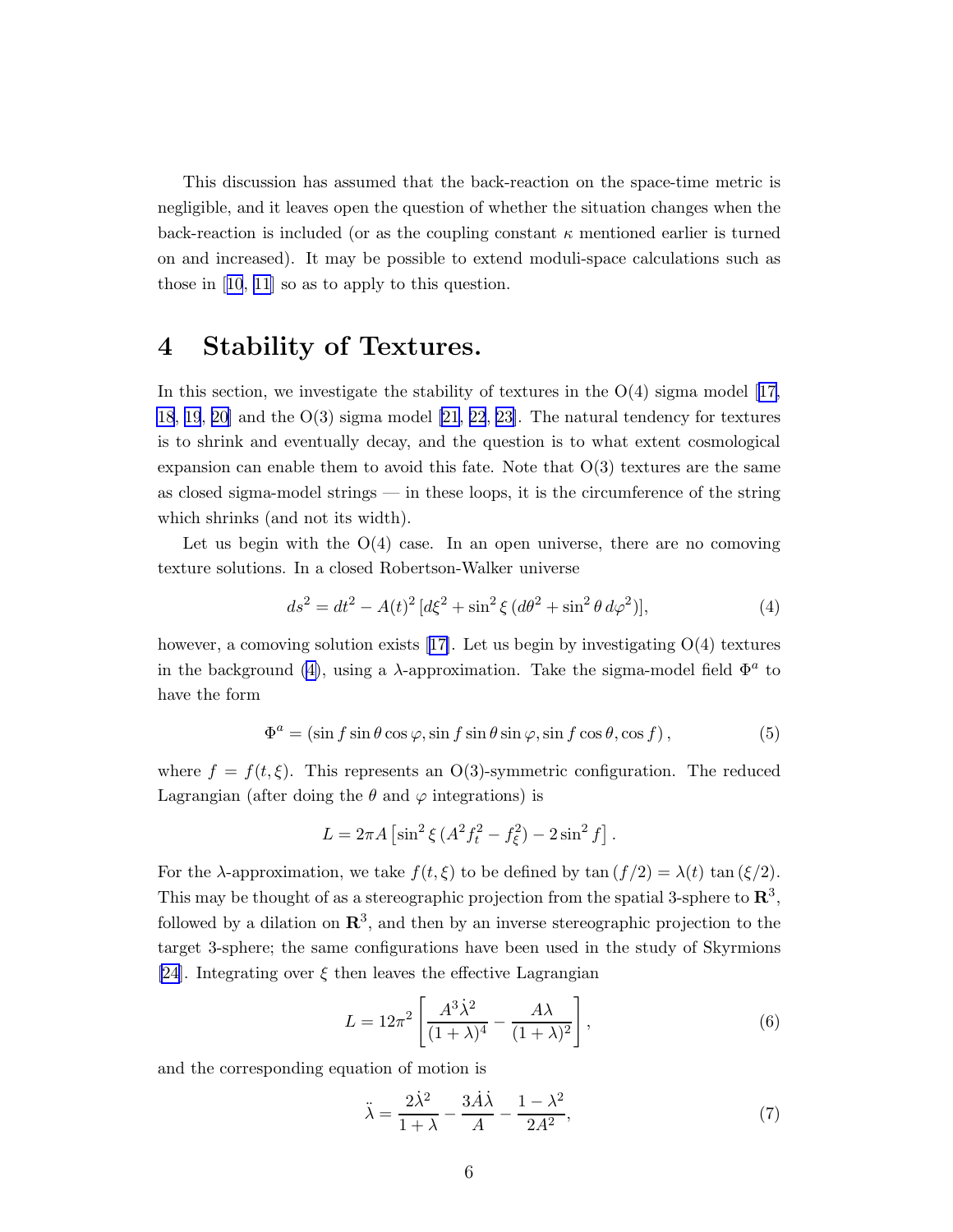<span id="page-5-0"></span>This discussion has assumed that the back-reaction on the space-time metric is negligible, and it leaves open the question of whether the situation changes when the back-reaction is included (or as the coupling constant  $\kappa$  mentioned earlier is turned on and increased). It may be possible to extend moduli-space calculations such as those in[[10](#page-7-0), [11](#page-7-0)] so as to apply to this question.

#### 4 Stability of Textures.

Inthis section, we investigate the stability of textures in the  $O(4)$  sigma model [[17,](#page-8-0) [18](#page-8-0), [19](#page-8-0), [20\]](#page-8-0) and the O(3) sigma model [\[21](#page-8-0), [22](#page-8-0), [23\]](#page-8-0). The natural tendency for textures is to shrink and eventually decay, and the question is to what extent cosmological expansion can enable them to avoid this fate. Note that  $O(3)$  textures are the same as closed sigma-model strings — in these loops, it is the circumference of the string which shrinks (and not its width).

Let us begin with the  $O(4)$  case. In an open universe, there are no comoving texture solutions. In a closed Robertson-Walker universe

$$
ds^{2} = dt^{2} - A(t)^{2} \left[d\xi^{2} + \sin^{2}\xi \left(d\theta^{2} + \sin^{2}\theta \, d\varphi^{2}\right)\right],
$$
\n(4)

however, a comoving solution exists [\[17\]](#page-8-0). Let us begin by investigating  $O(4)$  textures in the background (4), using a  $\lambda$ -approximation. Take the sigma-model field  $\Phi^a$  to have the form

$$
\Phi^{a} = (\sin f \sin \theta \cos \varphi, \sin f \sin \theta \sin \varphi, \sin f \cos \theta, \cos f), \tag{5}
$$

where  $f = f(t, \xi)$ . This represents an O(3)-symmetric configuration. The reduced Lagrangian (after doing the  $\theta$  and  $\varphi$  integrations) is

$$
L = 2\pi A \left[ \sin^2 \xi \left( A^2 f_t^2 - f_\xi^2 \right) - 2\sin^2 f \right].
$$

For the  $\lambda$ -approximation, we take  $f(t,\xi)$  to be defined by tan  $(f/2) = \lambda(t) \tan(\xi/2)$ . This may be thought of as a stereographic projection from the spatial 3-sphere to  $\mathbb{R}^3$ , followed by a dilation on  $\mathbb{R}^3$ , and then by an inverse stereographic projection to the target 3-sphere; the same configurations have been used in the study of Skyrmions [\[24](#page-8-0)]. Integrating over  $\xi$  then leaves the effective Lagrangian

$$
L = 12\pi^2 \left[ \frac{A^3 \dot{\lambda}^2}{(1+\lambda)^4} - \frac{A\lambda}{(1+\lambda)^2} \right],\tag{6}
$$

and the corresponding equation of motion is

$$
\ddot{\lambda} = \frac{2\dot{\lambda}^2}{1+\lambda} - \frac{3\dot{A}\dot{\lambda}}{A} - \frac{1-\lambda^2}{2A^2},\tag{7}
$$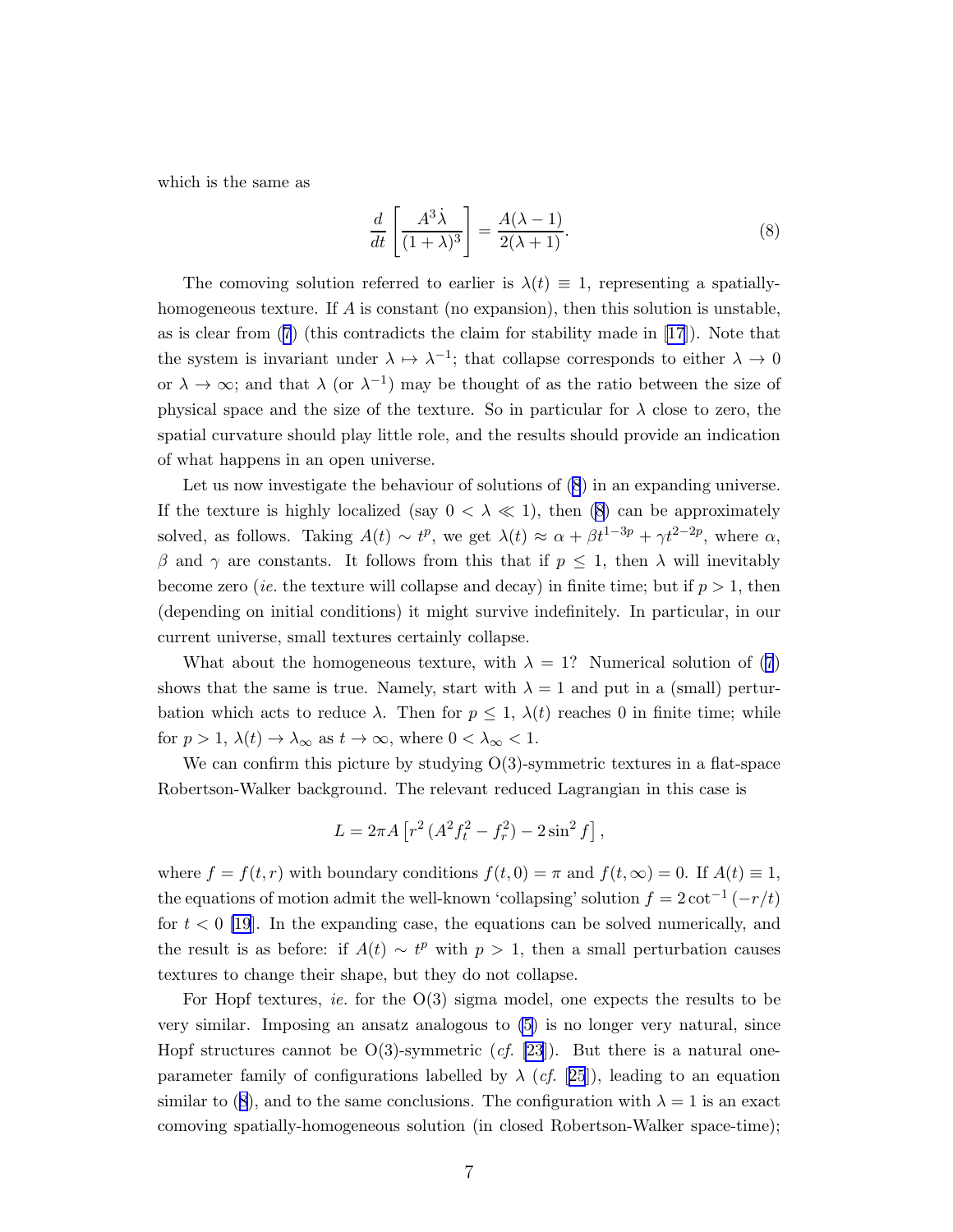which is the same as

$$
\frac{d}{dt}\left[\frac{A^3\dot{\lambda}}{(1+\lambda)^3}\right] = \frac{A(\lambda-1)}{2(\lambda+1)}.
$$
\n(8)

The comoving solution referred to earlier is  $\lambda(t) \equiv 1$ , representing a spatiallyhomogeneous texture. If  $A$  is constant (no expansion), then this solution is unstable, as is clear from([7](#page-5-0)) (this contradicts the claim for stability made in [\[17](#page-8-0)]). Note that the system is invariant under  $\lambda \mapsto \lambda^{-1}$ ; that collapse corresponds to either  $\lambda \to 0$ or  $\lambda \to \infty$ ; and that  $\lambda$  (or  $\lambda^{-1}$ ) may be thought of as the ratio between the size of physical space and the size of the texture. So in particular for  $\lambda$  close to zero, the spatial curvature should play little role, and the results should provide an indication of what happens in an open universe.

Let us now investigate the behaviour of solutions of (8) in an expanding universe. If the texture is highly localized (say  $0 < \lambda \ll 1$ ), then (8) can be approximately solved, as follows. Taking  $A(t) \sim t^p$ , we get  $\lambda(t) \approx \alpha + \beta t^{1-3p} + \gamma t^{2-2p}$ , where  $\alpha$ , β and γ are constants. It follows from this that if  $p \leq 1$ , then λ will inevitably become zero *(ie.* the texture will collapse and decay) in finite time; but if  $p > 1$ , then (depending on initial conditions) it might survive indefinitely. In particular, in our current universe, small textures certainly collapse.

What about the homogeneous texture, with  $\lambda = 1$ ? Numerical solution of [\(7](#page-5-0)) shows that the same is true. Namely, start with  $\lambda = 1$  and put in a (small) perturbation which acts to reduce  $\lambda$ . Then for  $p \leq 1$ ,  $\lambda(t)$  reaches 0 in finite time; while for  $p > 1$ ,  $\lambda(t) \to \lambda_{\infty}$  as  $t \to \infty$ , where  $0 < \lambda_{\infty} < 1$ .

We can confirm this picture by studying  $O(3)$ -symmetric textures in a flat-space Robertson-Walker background. The relevant reduced Lagrangian in this case is

$$
L = 2\pi A \left[ r^2 \left( A^2 f_t^2 - f_r^2 \right) - 2\sin^2 f \right],
$$

where  $f = f(t, r)$  with boundary conditions  $f(t, 0) = \pi$  and  $f(t, \infty) = 0$ . If  $A(t) \equiv 1$ , the equations of motion admit the well-known 'collapsing' solution  $f = 2 \cot^{-1}(-r/t)$ for  $t < 0$  [\[19](#page-8-0)]. In the expanding case, the equations can be solved numerically, and the result is as before: if  $A(t) \sim t^p$  with  $p > 1$ , then a small perturbation causes textures to change their shape, but they do not collapse.

For Hopf textures, *ie.* for the  $O(3)$  sigma model, one expects the results to be very similar. Imposing an ansatz analogous to [\(5\)](#page-5-0) is no longer very natural, since Hopf structures cannot be  $O(3)$ -symmetric (*cf.* [\[23](#page-8-0)]). But there is a natural oneparameter family of configurations labelled by  $\lambda$  (*cf.* [[25](#page-8-0)]), leading to an equation similar to (8), and to the same conclusions. The configuration with  $\lambda = 1$  is an exact comoving spatially-homogeneous solution (in closed Robertson-Walker space-time);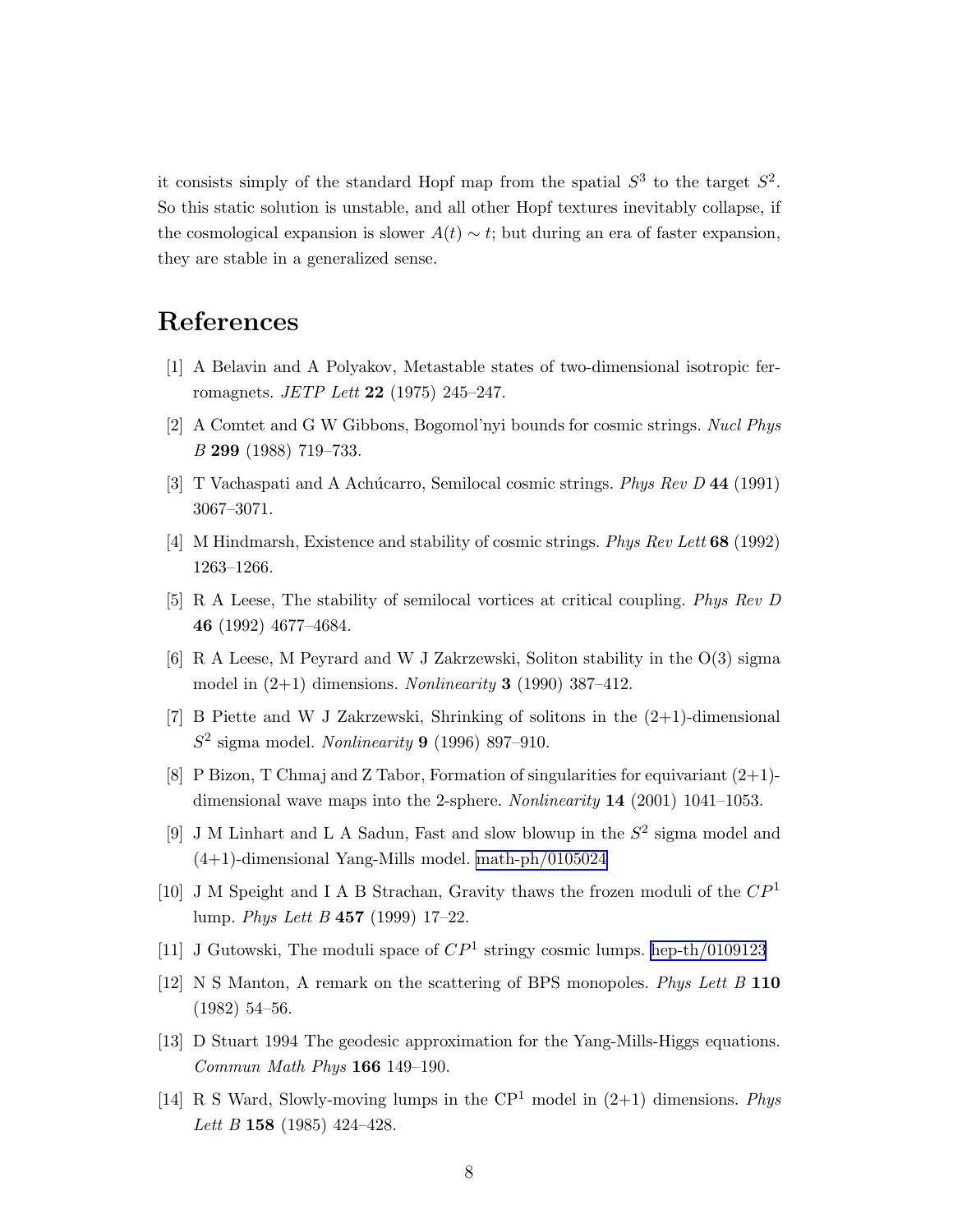<span id="page-7-0"></span>it consists simply of the standard Hopf map from the spatial  $S^3$  to the target  $S^2$ . So this static solution is unstable, and all other Hopf textures inevitably collapse, if the cosmological expansion is slower  $A(t) \sim t$ ; but during an era of faster expansion, they are stable in a generalized sense.

## References

- [1] A Belavin and A Polyakov, Metastable states of two-dimensional isotropic ferromagnets. *JETP Lett* **22** (1975) 245–247.
- [2] A Comtet and G W Gibbons, Bogomol'nyi bounds for cosmic strings. Nucl Phys B 299 (1988) 719–733.
- [3] T Vachaspati and A Achúcarro, Semilocal cosmic strings. *Phys Rev D* 44 (1991) 3067–3071.
- [4] M Hindmarsh, Existence and stability of cosmic strings. Phys Rev Lett 68 (1992) 1263–1266.
- [5] R A Leese, The stability of semilocal vortices at critical coupling. Phys Rev D 46 (1992) 4677–4684.
- [6] R A Leese, M Peyrard and W J Zakrzewski, Soliton stability in the O(3) sigma model in  $(2+1)$  dimensions. Nonlinearity 3 (1990) 387–412.
- [7] B Piette and W J Zakrzewski, Shrinking of solitons in the (2+1)-dimensional  $S^2$  sigma model. Nonlinearity 9 (1996) 897-910.
- [8] P Bizon, T Chmaj and Z Tabor, Formation of singularities for equivariant  $(2+1)$ dimensional wave maps into the 2-sphere. Nonlinearity  $14$  (2001) 1041–1053.
- [9] J M Linhart and L A Sadun, Fast and slow blowup in the  $S^2$  sigma model and (4+1)-dimensional Yang-Mills model. [math-ph/0105024](http://arxiv.org/abs/math-ph/0105024)
- [10] J M Speight and I A B Strachan, Gravity thaws the frozen moduli of the  $\mathbb{CP}^1$ lump. Phys Lett B 457 (1999) 17–22.
- [11] J Gutowski, The moduli space of  $\mathbb{CP}^1$  stringy cosmic lumps. [hep-th/0109123](http://arxiv.org/abs/hep-th/0109123)
- [12] N S Manton, A remark on the scattering of BPS monopoles. Phys Lett B 110 (1982) 54–56.
- [13] D Stuart 1994 The geodesic approximation for the Yang-Mills-Higgs equations. Commun Math Phys 166 149–190.
- [14] R S Ward, Slowly-moving lumps in the  $\mathbb{CP}^1$  model in  $(2+1)$  dimensions. Phys Lett B 158 (1985) 424-428.